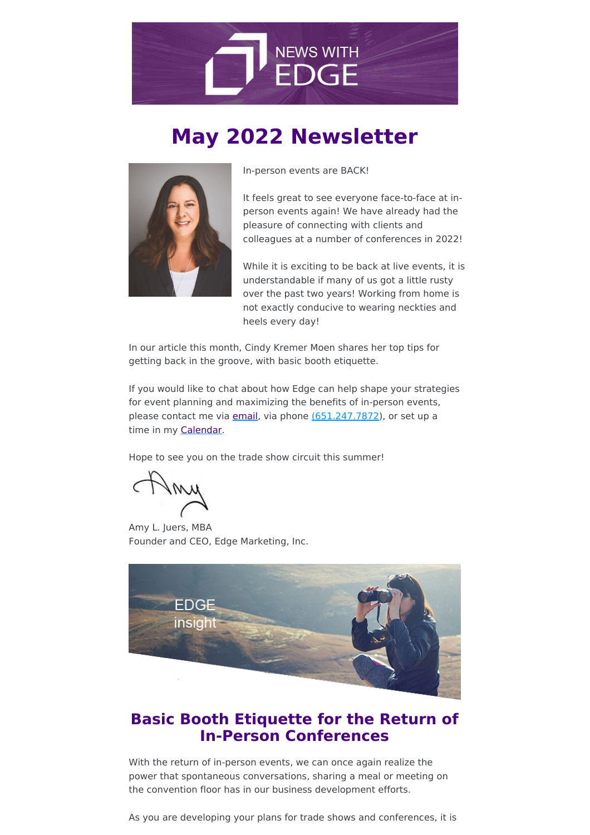

# **May 2022 Newsletter**



In-person events are BACK!

It feels great to see everyone face-to-face at inperson events again! We have already had the pleasure of connecting with clients and colleagues at a number of conferences in 2022!

While it is exciting to be back at live events, it is understandable if many of us got a little rusty over the past two years! Working from home is not exactly conducive to wearing neckties and heels every day!

In our article this month, Cindy Kremer Moen shares her top tips for getting back in the groove, with basic booth etiquette.

If you would like to chat about how Edge can help shape your strategies for event planning and maximizing the benefits of in-person events, please contact me via [email](mailto:ajuers@edgemarketinginc.com), via phone [\(651.247.7872](tel:(651.247.7872)), or set up a time in my [Calendar.](https://edgemarketinginc.com/schedule-a-call/)

Hope to see you on the trade show circuit this summer!

Amy L. Juers, MBA Founder and CEO, Edge Marketing, Inc.



# **Basic Booth Etiquette for the Return of In-Person Conferences**

With the return of in-person events, we can once again realize the power that spontaneous conversations, sharing a meal or meeting on the convention floor has in our business development efforts.

As you are developing your plans for trade shows and conferences, it is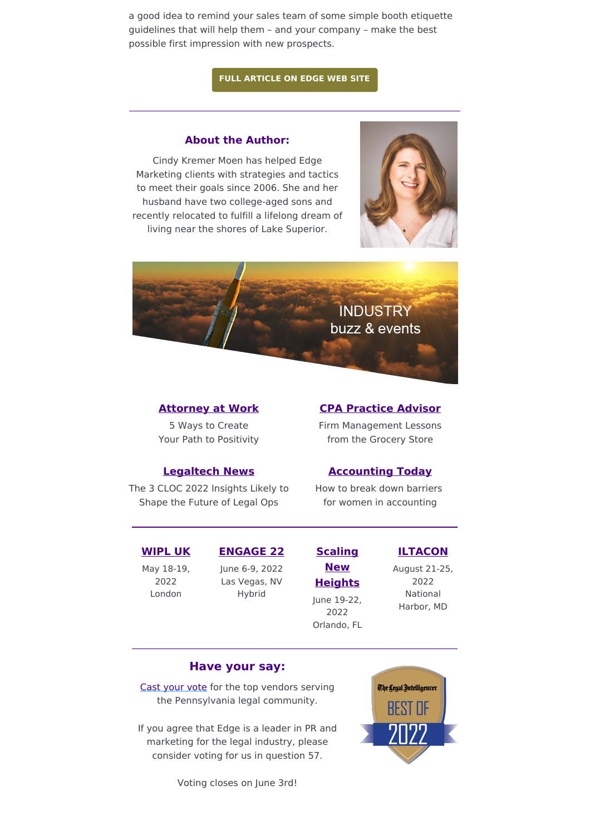a good idea to remind your sales team of some simple booth etiquette guidelines that will help them – and your company – make the best possible first impression with new prospects.

### **FULL [ARTICLE](https://edgemarketinginc.com/basic-booth-etiquette-for-the-return-of-in-person-conferences/) ON EDGE WEB SITE**

### **About the Author:**

Cindy Kremer Moen has helped Edge Marketing clients with strategies and tactics to meet their goals since 2006. She and her husband have two college-aged sons and recently relocated to fulfill a lifelong dream of living near the shores of Lake Superior.





# **[Attorney](https://www.attorneyatwork.com/5-ways-to-create-your-path-benefits-of-positivity/) at Work**

5 Ways to Create Your Path to Positivity

# **CPA [Practice](https://www.cpapracticeadvisor.com/firm-management/article/21266316/firm-management-lessons-from-the-grocery-store) Advisor**

Firm Management Lessons from the Grocery Store

### **[Legaltech](https://www.law.com/legaltechnews/2022/05/13/the-three-cloc-2022-insights-likely-to-shape-the-future-of-legal-ops/) News**

The 3 CLOC 2022 Insights Likely to Shape the Future of Legal Ops

How to break down barriers for women in accounting

# **[WIPL](https://www.event.law.com/corpcounsel-wipluk/1484635) UK**

May 18-19, 2022 London

**[ENGAGE](https://www.aicpaengage.com/) 22** June 6-9, 2022 Las Vegas, NV Hybrid

# **[Accounting](https://www.accountingtoday.com/opinion/how-to-break-down-barriers-for-women-in-the-male-dominated-accounting-industry) Today**

# **Scaling New [Heights](https://www.woodard.com/2022-scaling-new-heights)** June 19-22, 2022 Orlando, FL

**[ILTACON](https://www.iltacon.org/home)** August 21-25,

2022 National Harbor, MD

### **Have your say:**

Cast [your](https://www.surveymonkey.com/r/BestofTLI2022) vote for the top vendors serving the Pennsylvania legal community.

If you agree that Edge is a leader in PR and marketing for the legal industry, please consider voting for us in question 57.

Voting closes on June 3rd!